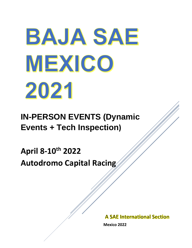# BAJA SAE MEXICO 2021

**IN-PERSON EVENTS (Dynamic Events + Tech Inspection)**

**April 8-10th 2022 Autodromo Capital Racing**

**A SAE International Section** 

 **Mexico 2022**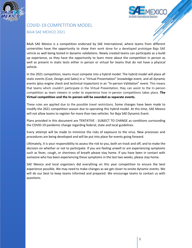



# COVID-19 COMPETITION MODEL BAJA SAE MEXICO 2021

BAJA SAE Mexico is a competition endorsed by SAE International, where teams from different universities have the opportunity to show their work done for a developed prototype Baja SAE vehicle as well being tested in dynamic validations. Newly created teams can participate as a build up experience, so they have the opportunity to learn more about the competition in person as well as present in static tests either in person or virtual for teams that do not have a physical vehicle.

In the 2021 competition, teams must compete into a hybrid model. The hybrid model will place all static events (Cost, Design and Sales) in a "Virtual Presentation" knowledge event, and all dynamic events (plus engine check and technical inspection) in an "In-person Validation" event. This means that teams which couldn't participate in the Virtual Presentation, they can assist to the In-person competition as team viewers in order to experience how in-person competitions takes place. **The Virtual competition and the In-person will be awarded as separate events.**

These rules are applied due to the possible travel restrictions. Some changes have been made to modify the 2021 competition season due to operating this hybrid model. At this time, SAE Mexico will not allow teams to register for more than two vehicles for Baja SAE Dynamic Event.

Plans provided in this document are TENTATIVE - SUBJECT TO CHANGE as conditions surrounding the COVID-19 pandemic change regarding federal, state and local guidelines.

Every attempt will be made to minimize the risks of exposure to the virus. New processes and procedures are being developed and will be put into place for events going forward.

Ultimately, it is your responsibility to assess the risk to you, both on-track and off, and to make the decision on whether or not to participate. If you are feeling unwell or are experiencing symptoms such as fever, cough, or shortness of breath please stay home. If you have been in contact with someone who has been experiencing these symptoms in the last two weeks, please stay home.

SAE Mexico and local organizers did everything on this year competition to ensure the best experience possible. We may need to make changes as we get closer to onsite dynamic events. We will do our best to keep teams informed and prepared. We encourage teams to contact us with questions.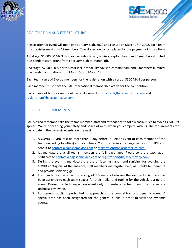



#### REGISTRATION AND FEE STRUCTURE

Registration for event will open on February 21th, 2022 and closure on March 18th 2022. Each team must register maximum 12 members. Two stages are contemplated for the payment of inscriptions:

1st stage: \$6,000.00 MXN this cost includes faculty advisor, captain team and 5 members (Limited due pandemic situation) from February 21th to March 4th.

2nd stage: \$7,500.00 MXN this cost includes faculty advisor, captain team and 5 members (Limited due pandemic situation) from March 5th to March 18th.

Each team can add 6 extra members for the registration with a cost of \$500 MXN per person.

Each member must have the SAE International membership active for the competition.

Participants of both stages should send documents to [contact@bajasaemexico.com](mailto:contact@bajasaemexico.com) and [registration@bajasaemexico.com](mailto:registration@bajasaemexico.com)

### COVID-19 REQUIREMENTS

SAE Mexico remember alla the teams member, staff and attendance to follow social rules to avoid COVID-19 spread. We're prioritizing your safety and peace of mind when you compete with us. The requirements for participate in the dynamic events are the next:

- 1. A COVID-19 viral test no more than 2 day before In-Person Event of each member of the team (including faculties) and volunteers. You must scan your negative result in PDF and send it to [contact@bajasaemexico.com](mailto:contact@bajasaemexico.com) or [registration@bajasaemexico.com.](mailto:registration@bajasaemexico.com)
- 2. It's mandatory that all teams' members are fully vaccinated. Please send the vaccination certificate to [contact@bajasaemexico.com](mailto:contact@bajasaemexico.com) or [registration@bajasaemexico.com.](mailto:registration@bajasaemexico.com)
- 3. During the event is mandatory the use of facemask and hand sanitizer for avoiding the COVID contagion. At the entrance, staff members will register every assistant's temperature and provide sanitizing gel
- 4. It´s mandatory the social distancing of 1.5 meters between the assistants. A space has been assigned to each team spaces for their trailer and tooling for the vehicle during the event. During the Tech inspection event only 3 members by team could be the vehicle technical reviewing.
- 5. For general public is prohibited to approach to the competitors and dynamic event. A special area has been designated for the general public in order to view the dynamic events.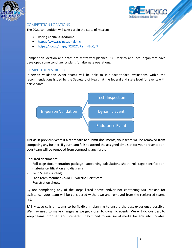



#### COMPETITION LOCATIONS

The 2021 competition will take part in the State of Mexico:

- Racing Capital Autódromo
- <https://www.racingcapital.mx/>
- <https://goo.gl/maps/j72U2CdPa4hN2qQh7>

Competition location and dates are tentatively planned. SAE Mexico and local organizers have developed some contingency plans for alternate operations.

#### COMPETITION STRUCTURE

In-person validation event teams will be able to join face-to-face evaluations within the recommendations issued by the Secretary of Health at the federal and state level for events with participants.



Just as in previous years if a team fails to submit documents, your team will be removed from competing any further. If your team fails to attend the assigned time slot for your presentation, your team will be removed from competing any further.

Required documents:

- Roll cage documentation package (supporting calculations sheet, roll cage specification, material certification and diagrams
- Tech Sheet (Printed)
- Each team member Covid 19 Vaccine Certificate.
- Registration sheet.

By not completing any of the steps listed above and/or not contacting SAE Mexico for assistance, your team will be considered withdrawn and removed from the registered teams list.

SAE Mexico calls on teams to be flexible in planning to ensure the best experience possible. We may need to make changes as we get closer to dynamic events. We will do our best to keep teams informed and prepared. Stay tuned to our social media for any info updates.